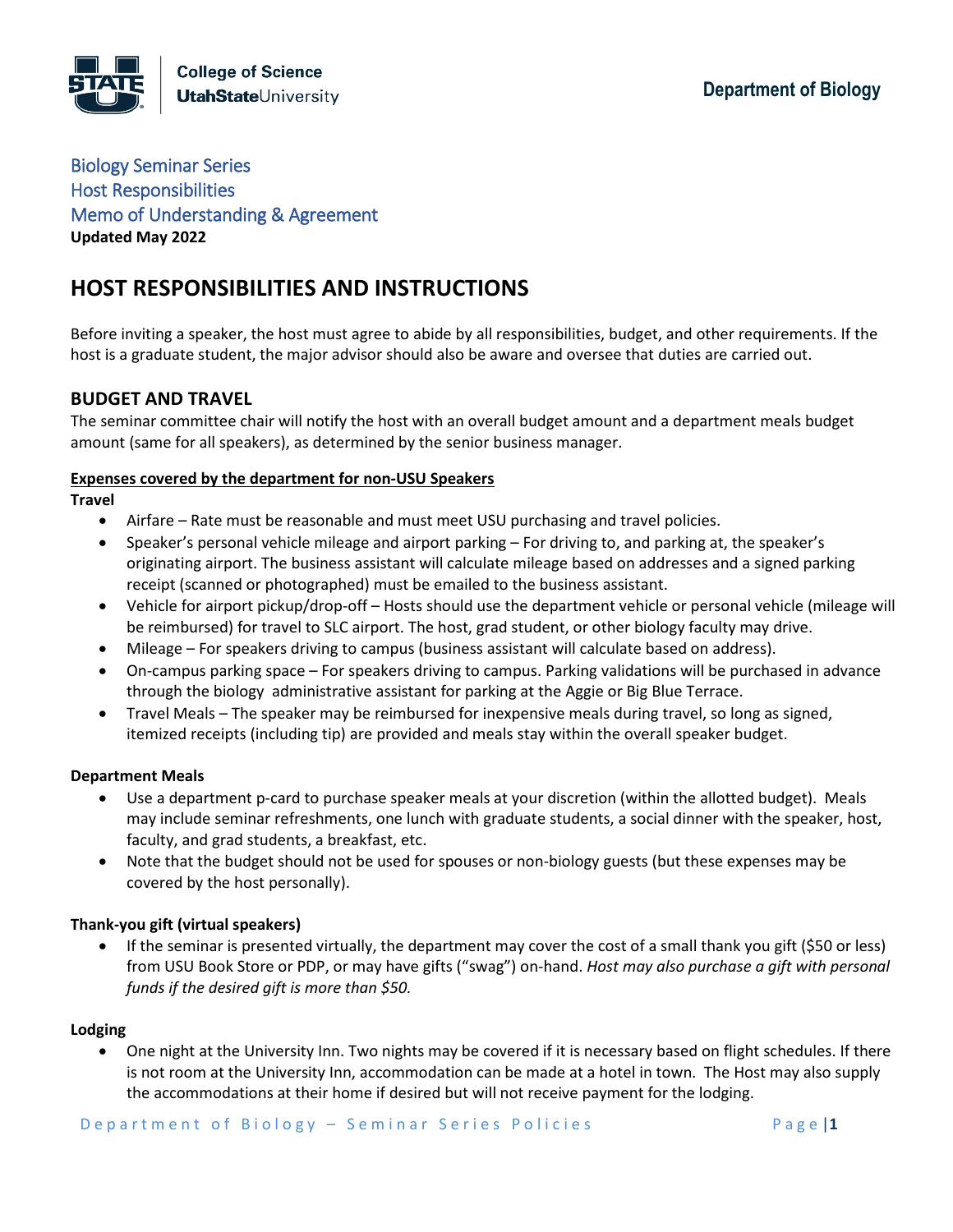Biology Seminar Series Host Responsibilities Memo of Understanding & Agreement **Updated May 2022**

# **HOST RESPONSIBILITIES AND INSTRUCTIONS**

Before inviting a speaker, the host must agree to abide by all responsibilities, budget, and other requirements. If the host is a graduate student, the major advisor should also be aware and oversee that duties are carried out.

## **BUDGET AND TRAVEL**

The seminar committee chair will notify the host with an overall budget amount and a department meals budget amount (same for all speakers), as determined by the senior business manager.

#### **Expenses covered by the department for non-USU Speakers**

#### **Travel**

- Airfare Rate must be reasonable and must meet USU purchasing and travel policies.
- Speaker's personal vehicle mileage and airport parking For driving to, and parking at, the speaker's originating airport. The business assistant will calculate mileage based on addresses and a signed parking receipt (scanned or photographed) must be emailed to the business assistant.
- Vehicle for airport pickup/drop-off Hosts should use the department vehicle or personal vehicle (mileage will be reimbursed) for travel to SLC airport. The host, grad student, or other biology faculty may drive.
- Mileage For speakers driving to campus (business assistant will calculate based on address).
- On-campus parking space For speakers driving to campus. Parking validations will be purchased in advance through the biology administrative assistant for parking at the Aggie or Big Blue Terrace.
- Travel Meals The speaker may be reimbursed for inexpensive meals during travel, so long as signed, itemized receipts (including tip) are provided and meals stay within the overall speaker budget.

#### **Department Meals**

- Use a department p-card to purchase speaker meals at your discretion (within the allotted budget). Meals may include seminar refreshments, one lunch with graduate students, a social dinner with the speaker, host, faculty, and grad students, a breakfast, etc.
- Note that the budget should not be used for spouses or non-biology guests (but these expenses may be covered by the host personally).

#### **Thank-you gift (virtual speakers)**

• If the seminar is presented virtually, the department may cover the cost of a small thank you gift (\$50 or less) from USU Book Store or PDP, or may have gifts ("swag") on-hand. *Host may also purchase a gift with personal funds if the desired gift is more than \$50.*

#### **Lodging**

• One night at the University Inn. Two nights may be covered if it is necessary based on flight schedules. If there is not room at the University Inn, accommodation can be made at a hotel in town. The Host may also supply the accommodations at their home if desired but will not receive payment for the lodging.

D e p a r t m e n t o f B i o l o g y - S e m i n a r S e r i e s P o licies **F** a g e  $\vert \mathbf{1} \vert$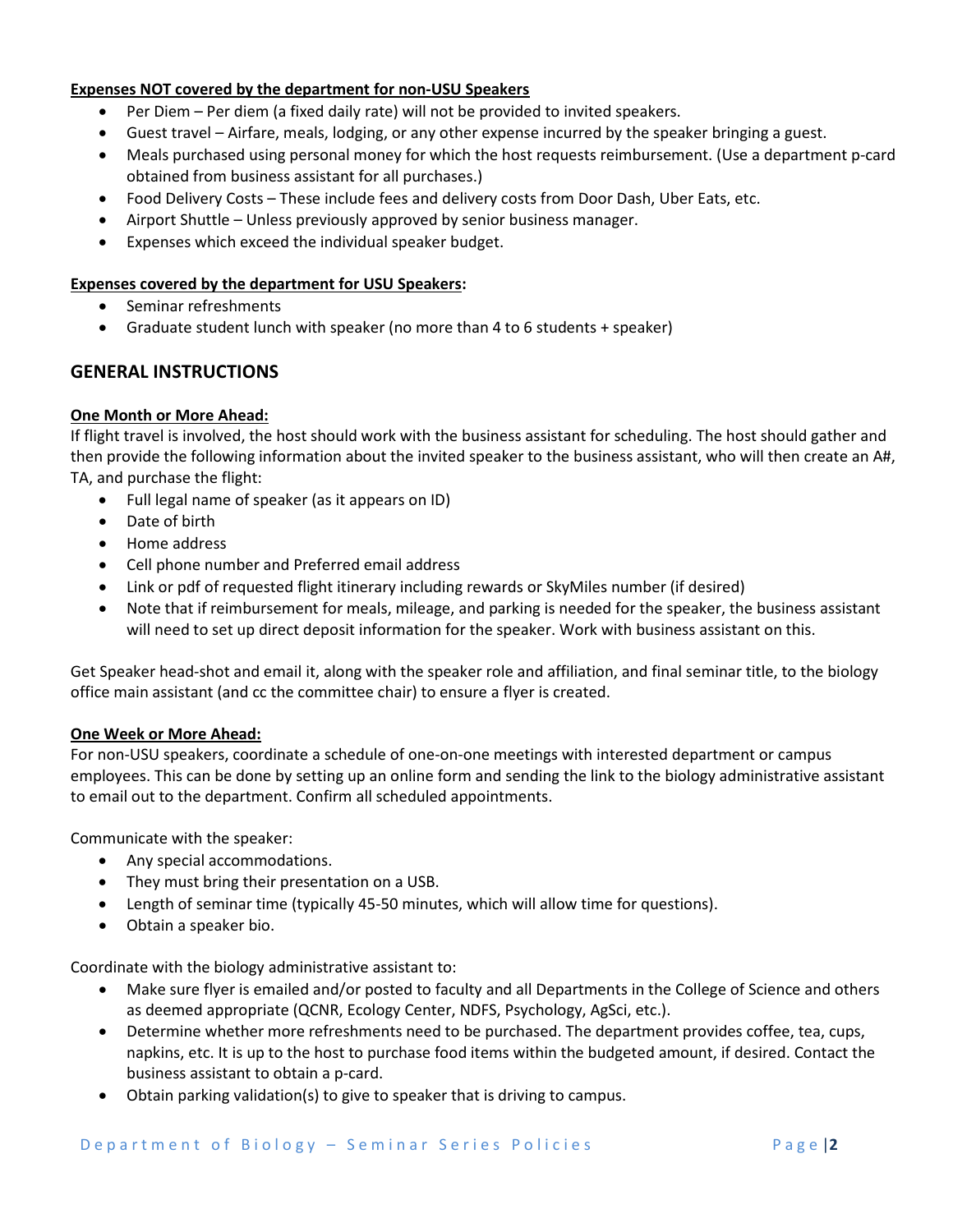#### **Expenses NOT covered by the department for non-USU Speakers**

- Per Diem Per diem (a fixed daily rate) will not be provided to invited speakers.
- Guest travel Airfare, meals, lodging, or any other expense incurred by the speaker bringing a guest.
- Meals purchased using personal money for which the host requests reimbursement. (Use a department p-card obtained from business assistant for all purchases.)
- Food Delivery Costs These include fees and delivery costs from Door Dash, Uber Eats, etc.
- Airport Shuttle Unless previously approved by senior business manager.
- Expenses which exceed the individual speaker budget.

#### **Expenses covered by the department for USU Speakers:**

- Seminar refreshments
- Graduate student lunch with speaker (no more than 4 to 6 students + speaker)

### **GENERAL INSTRUCTIONS**

#### **One Month or More Ahead:**

If flight travel is involved, the host should work with the business assistant for scheduling. The host should gather and then provide the following information about the invited speaker to the business assistant, who will then create an A#, TA, and purchase the flight:

- Full legal name of speaker (as it appears on ID)
- Date of birth
- Home address
- Cell phone number and Preferred email address
- Link or pdf of requested flight itinerary including rewards or SkyMiles number (if desired)
- Note that if reimbursement for meals, mileage, and parking is needed for the speaker, the business assistant will need to set up direct deposit information for the speaker. Work with business assistant on this.

Get Speaker head-shot and email it, along with the speaker role and affiliation, and final seminar title, to the biology office main assistant (and cc the committee chair) to ensure a flyer is created.

#### **One Week or More Ahead:**

For non-USU speakers, coordinate a schedule of one-on-one meetings with interested department or campus employees. This can be done by setting up an online form and sending the link to the biology administrative assistant to email out to the department. Confirm all scheduled appointments.

Communicate with the speaker:

- Any special accommodations.
- They must bring their presentation on a USB.
- Length of seminar time (typically 45-50 minutes, which will allow time for questions).
- Obtain a speaker bio.

Coordinate with the biology administrative assistant to:

- Make sure flyer is emailed and/or posted to faculty and all Departments in the College of Science and others as deemed appropriate (QCNR, Ecology Center, NDFS, Psychology, AgSci, etc.).
- Determine whether more refreshments need to be purchased. The department provides coffee, tea, cups, napkins, etc. It is up to the host to purchase food items within the budgeted amount, if desired. Contact the business assistant to obtain a p-card.
- Obtain parking validation(s) to give to speaker that is driving to campus.